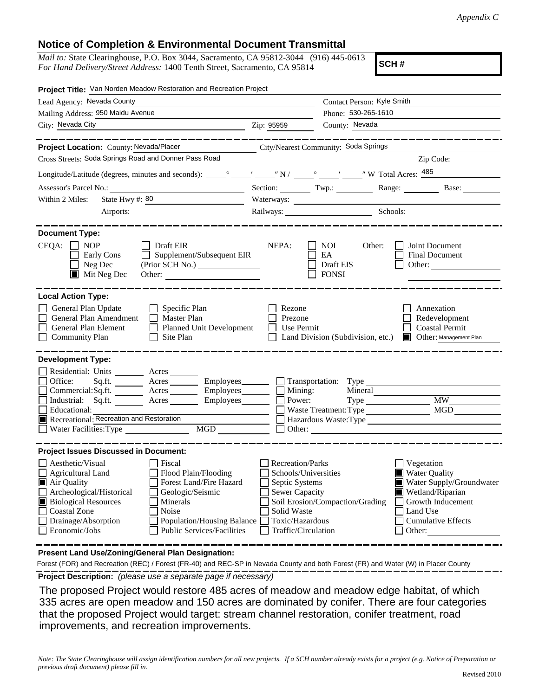## **Notice of Completion & Environmental Document Transmittal**

*Mail to:* State Clearinghouse, P.O. Box 3044, Sacramento, CA 95812-3044 (916) 445-0613 *For Hand Delivery/Street Address:* 1400 Tenth Street, Sacramento, CA 95814

**SCH #**

| Project Title: Van Norden Meadow Restoration and Recreation Project                                                                                                                                                                                                                                                                                       |                                                                                                                                                     |                                                                              |                                                                                                                                                            |  |
|-----------------------------------------------------------------------------------------------------------------------------------------------------------------------------------------------------------------------------------------------------------------------------------------------------------------------------------------------------------|-----------------------------------------------------------------------------------------------------------------------------------------------------|------------------------------------------------------------------------------|------------------------------------------------------------------------------------------------------------------------------------------------------------|--|
| Lead Agency: Nevada County                                                                                                                                                                                                                                                                                                                                |                                                                                                                                                     | Contact Person: Kyle Smith                                                   |                                                                                                                                                            |  |
| Mailing Address: 950 Maidu Avenue                                                                                                                                                                                                                                                                                                                         |                                                                                                                                                     | Phone: 530-265-1610                                                          |                                                                                                                                                            |  |
| City: Nevada City                                                                                                                                                                                                                                                                                                                                         | Zip: 95959                                                                                                                                          | County: Nevada                                                               |                                                                                                                                                            |  |
|                                                                                                                                                                                                                                                                                                                                                           |                                                                                                                                                     |                                                                              |                                                                                                                                                            |  |
| Project Location: County: Nevada/Placer                                                                                                                                                                                                                                                                                                                   |                                                                                                                                                     | City/Nearest Community: Soda Springs                                         |                                                                                                                                                            |  |
| Cross Streets: Soda Springs Road and Donner Pass Road                                                                                                                                                                                                                                                                                                     |                                                                                                                                                     | <u> 1989 - Johann Barbara, martin amerikan personal (</u>                    | Zip Code:                                                                                                                                                  |  |
|                                                                                                                                                                                                                                                                                                                                                           |                                                                                                                                                     |                                                                              |                                                                                                                                                            |  |
|                                                                                                                                                                                                                                                                                                                                                           |                                                                                                                                                     |                                                                              | Section: Twp.: Range: Base:                                                                                                                                |  |
| State Hwy #: 80<br>Within 2 Miles:                                                                                                                                                                                                                                                                                                                        |                                                                                                                                                     |                                                                              |                                                                                                                                                            |  |
|                                                                                                                                                                                                                                                                                                                                                           |                                                                                                                                                     |                                                                              | Railways: Schools: Schools:                                                                                                                                |  |
|                                                                                                                                                                                                                                                                                                                                                           |                                                                                                                                                     |                                                                              |                                                                                                                                                            |  |
| <b>Document Type:</b><br>$CEQA: \Box NOP$<br>$\Box$ Draft EIR<br>Supplement/Subsequent EIR<br>Early Cons<br>$\Box$<br>$\Box$ Neg Dec<br>$\blacksquare$ Mit Neg Dec<br>Other:                                                                                                                                                                              | NEPA:                                                                                                                                               | <b>NOI</b><br>Other:<br>EA<br>Draft EIS<br><b>FONSI</b>                      | Joint Document<br><b>Final Document</b><br>Other: $\qquad \qquad$                                                                                          |  |
| <b>Local Action Type:</b>                                                                                                                                                                                                                                                                                                                                 |                                                                                                                                                     |                                                                              |                                                                                                                                                            |  |
| General Plan Update<br>$\Box$ Specific Plan<br>General Plan Amendment<br>$\Box$ Master Plan<br><b>General Plan Element</b><br>$\Box$ Planned Unit Development<br><b>Community Plan</b><br>Site Plan<br>$\mathsf{L}$                                                                                                                                       | Rezone<br>Prezone<br>Use Permit                                                                                                                     | Land Division (Subdivision, etc.)                                            | Annexation<br>Redevelopment<br><b>Coastal Permit</b><br>Other: Management Plan                                                                             |  |
| <b>Development Type:</b><br>Residential: Units _________ Acres _______<br>Office:<br>$Sq.ft.$ Acres<br>Commercial:Sq.ft. _________ Acres _______<br>Industrial: Sq.ft. _______ Acres ______<br>Employees________<br>Educational:<br>Recreational: Recreation and Restoration<br>MGD<br><br>Water Facilities: Type                                         | Mining:<br>Power:                                                                                                                                   | Employees Transportation: Type<br>Mineral<br>Waste Treatment: Type<br>Other: | <b>MW</b><br><b>MGD</b><br>Hazardous Waste:Type                                                                                                            |  |
| <b>Project Issues Discussed in Document:</b>                                                                                                                                                                                                                                                                                                              |                                                                                                                                                     |                                                                              |                                                                                                                                                            |  |
| Aesthetic/Visual<br>  Fiscal<br><b>Agricultural Land</b><br>Flood Plain/Flooding<br>Forest Land/Fire Hazard<br>Air Quality<br>Archeological/Historical<br>Geologic/Seismic<br><b>Biological Resources</b><br>Minerals<br><b>Coastal Zone</b><br>Noise<br>Drainage/Absorption<br>Population/Housing Balance<br>Public Services/Facilities<br>Economic/Jobs | <b>Recreation/Parks</b><br>Schools/Universities<br>Septic Systems<br><b>Sewer Capacity</b><br>Solid Waste<br>Toxic/Hazardous<br>Traffic/Circulation | Soil Erosion/Compaction/Grading                                              | Vegetation<br><b>Water Quality</b><br>Water Supply/Groundwater<br>Wetland/Riparian<br>Growth Inducement<br>Land Use<br><b>Cumulative Effects</b><br>Other: |  |

**Present Land Use/Zoning/General Plan Designation:**

**Project Description:** *(please use a separate page if necessary)* Forest (FOR) and Recreation (REC) / Forest (FR-40) and REC-SP in Nevada County and both Forest (FR) and Water (W) in Placer County

 The proposed Project would restore 485 acres of meadow and meadow edge habitat, of which 335 acres are open meadow and 150 acres are dominated by conifer. There are four categories that the proposed Project would target: stream channel restoration, conifer treatment, road improvements, and recreation improvements.